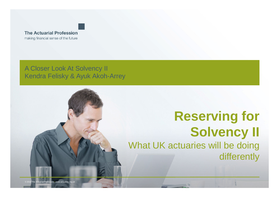

A Closer Look At Solvency IIKendra Felisky & Ayuk Akoh-Arrey

# **Reserving for Solvency II**What UK actuaries will be doing differently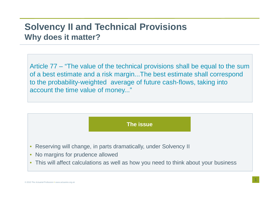#### **Solvency II and Technical ProvisionsWhy does it matter?**

Article 77 – "The value of the technical provisions shall be equal to the sum of a best estimate and a risk margin...The best estimate shall correspond to the probability-weighted average of future cash-flows, taking into account the time value of money..."



- $\bullet$ Reserving will change, in parts dramatically, under Solvency II
- No margins for prudence allowed
- This will affect calculations as well as how you need to think about your business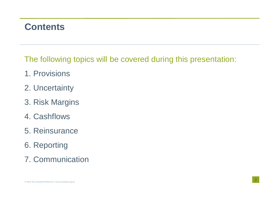## **Contents**

The following topics will be covered during this presentation:

- 1. Provisions
- 2. Uncertainty
- 3. Risk Margins
- 4. Cashflows
- 5. Reinsurance
- 6. Reporting
- 7. Communication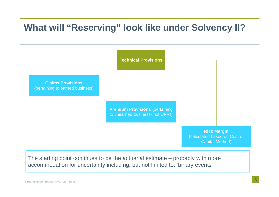## **What will "Reserving" look like under Solvency II?**



The starting point continues to be the actuarial estimate – probably with more accommodation for uncertainty including, but not limited to, 'binary events'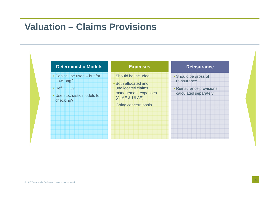## **Valuation – Claims Provisions**

| <b>Deterministic Models</b>                                                                            | <b>Expenses</b>                                                                                                                     | <b>Reinsurance</b>                                                                       |
|--------------------------------------------------------------------------------------------------------|-------------------------------------------------------------------------------------------------------------------------------------|------------------------------------------------------------------------------------------|
| • Can still be used – but for<br>how long?<br>• Ref. CP 39<br>• Use stochastic models for<br>checking? | • Should be included<br>• Both allocated and<br>unallocated claims<br>management expenses<br>(ALAE & ULAE)<br>• Going concern basis | • Should be gross of<br>reinsurance<br>• Reinsurance provisions<br>calculated separately |
|                                                                                                        |                                                                                                                                     |                                                                                          |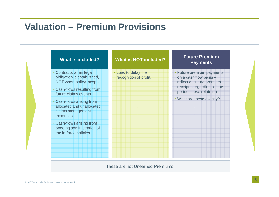## **Valuation – Premium Provisions**

| • Contracts when legal<br>• Load to delay the<br>obligation is established,<br>on a cash flow basis -<br>recognition of profit.<br>NOT when policy incepts<br>reflect all future premium<br>• Cash-flows resulting from<br>period these relate to)<br>future claims events<br>. What are these exactly?<br>• Cash-flows arising from<br>allocated and unallocated<br>claims management<br>expenses<br>• Cash-flows arising from<br>ongoing administration of | <b>What is included?</b> | <b>What is NOT included?</b> | <b>Future Premium</b><br><b>Payments</b>                  |
|--------------------------------------------------------------------------------------------------------------------------------------------------------------------------------------------------------------------------------------------------------------------------------------------------------------------------------------------------------------------------------------------------------------------------------------------------------------|--------------------------|------------------------------|-----------------------------------------------------------|
|                                                                                                                                                                                                                                                                                                                                                                                                                                                              | the in-force policies    |                              | • Future premium payments,<br>receipts (regardless of the |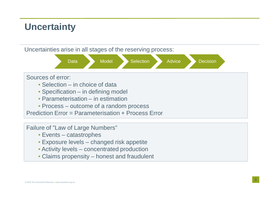# **Uncertainty**

Uncertainties arise in all stages of the reserving process:



#### Sources of error:

- Selection in choice of data
- Specification in defining model
- Parameterisation in estimation
- Process outcome of a random process

Prediction Error = Parameterisation + Process Error

Failure of "Law of Large Numbers"

- Events catastrophes
- Exposure levels changed risk appetite
- Activity levels concentrated production
- Claims propensity honest and fraudulent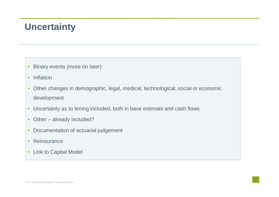## **Uncertainty**

- •Binary events (more on later)
- •Inflation
- $\bullet$  Other changes in demographic, legal, medical, technological, social or economic development
- •Uncertainty as to timing included, both in base estimate and cash flows
- $\bullet$ Other – already included?
- •Documentation of actuarial judgement
- •**Reinsurance**
- $\bullet$ Link to Capital Model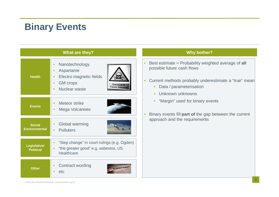# **Binary Events**

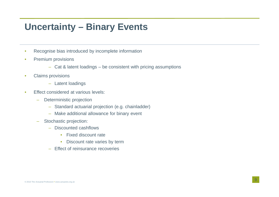## **Uncertainty – Binary Events**

- •Recognise bias introduced by incomplete information
- • Premium provisions
	- Cat & latent loadings be consistent with pricing assumptions
- • Claims provisions
	- Latent loadings
- • Effect considered at various levels:
	- – Deterministic projection
		- Standard actuarial projection (e.g. chainladder)
		- Make additional allowance for binary event
	- – Stochastic projection:
		- Discounted cashflows
			- Fixed discount rate
			- $\bullet$ Discount rate varies by term
		- Effect of reinsurance recoveries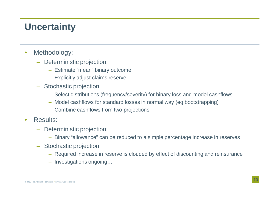# **Uncertainty**

- $\bullet$  Methodology:
	- Deterministic projection:
		- Estimate "mean" binary outcome
		- Explicitly adjust claims reserve
	- Stochastic projection
		- Select distributions (frequency/severity) for binary loss and model cashflows
		- Model cashflows for standard losses in normal way (eg bootstrapping)
		- Combine cashflows from two projections
- • Results:
	- – Deterministic projection:
		- Binary "allowance" can be reduced to a simple percentage increase in reserves
	- Stochastic projection
		- Required increase in reserve is clouded by effect of discounting and reinsurance
		- Investigations ongoing…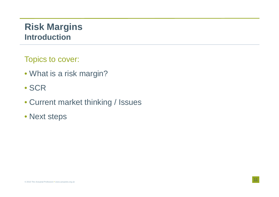## **Risk Margins Introduction**

Topics to cover:

- What is a risk margin?
- SCR
- Current market thinking / Issues
- Next steps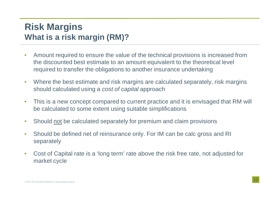## **Risk Margins What is a risk margin (RM)?**

- • Amount required to ensure the value of the technical provisions is increased from the discounted best estimate to an amount equivalent to the theoretical level required to transfer the obligations to another insurance undertaking
- $\bullet$  Where the best estimate and risk margins are calculated separately, risk margins should calculated using a cost of capital approach
- • This is a new concept compared to current practice and it is envisaged that RM will be calculated to some extent using suitable simplifications
- $\bullet$ Should not be calculated separately for premium and claim provisions
- • Should be defined net of reinsurance only. For IM can be calc gross and RI separately
- • Cost of Capital rate is a 'long term' rate above the risk free rate, not adjusted for market cycle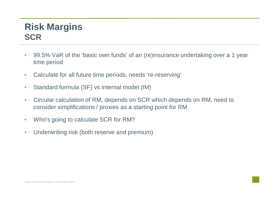### **Risk Margins SCR**

- • 99.5% VaR of the 'basic own funds' of an (re)insurance undertaking over a 1 year time period
- •Calculate for all future time periods, needs 're-reserving'
- $\bullet$ Standard formula (SF) vs internal model (IM)
- • Circular calculation of RM, depends on SCR which depends on RM, need to consider simplifications / proxies as a starting point for RM
- •Who's going to calculate SCR for RM?
- $\bullet$ Underwriting risk (both reserve and premium)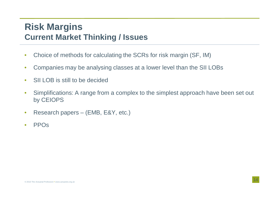### **Risk Margins Current Market Thinking / Issues**

- •Choice of methods for calculating the SCRs for risk margin (SF, IM)
- $\bullet$ Companies may be analysing classes at a lower level than the SII LOBs
- •SII LOB is still to be decided
- • Simplifications: A range from a complex to the simplest approach have been set out by CEIOPS
- $\bullet$ Research papers – (EMB, E&Y, etc.)
- •PPOs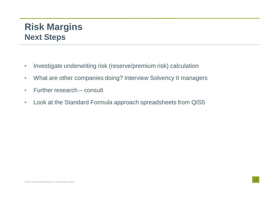## **Risk Margins Next Steps**

- •Investigate underwriting risk (reserve/premium risk) calculation
- •What are other companies doing? Interview Solvency II managers
- $\bullet$ Further research – consult
- $\bullet$ Look at the Standard Formula approach spreadsheets from QIS5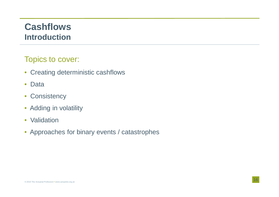### **Cashflows Introduction**

#### Topics to cover:

- Creating deterministic cashflows
- $\bullet$ Data
- $\bullet$ **Consistency**
- Adding in volatility
- Validation
- Approaches for binary events / catastrophes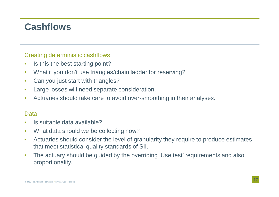## **Cashflows**

#### Creating deterministic cashflows

- •Is this the best starting point?
- •What if you don't use triangles/chain ladder for reserving?
- •Can you just start with triangles?
- Large losses will need separate consideration. •
- •Actuaries should take care to avoid over-smoothing in their analyses.

#### Data

- •Is suitable data available?
- $\bullet$ What data should we be collecting now?
- Actuaries should consider the level of granularity they require to produce estimates  $\bullet$ that meet statistical quality standards of SII.
- • The actuary should be guided by the overriding 'Use test' requirements and also proportionality.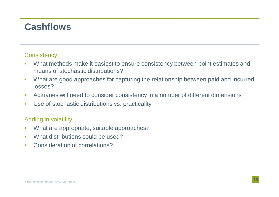## **Cashflows**

#### **Consistency**

- • What methods make it easiest to ensure consistency between point estimates and means of stochastic distributions?
- What are good approaches for capturing the relationship between paid and incurred  $\bullet$ losses?
- $\bullet$ Actuaries will need to consider consistency in a number of different dimensions
- •Use of stochastic distributions vs. practicality

#### Adding in volatility

- •What are appropriate, suitable approaches?
- $\bullet$ What distributions could be used?
- •Consideration of correlations?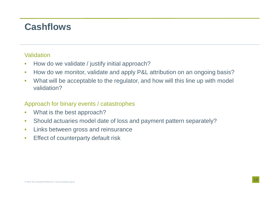## **Cashflows**

#### **Validation**

- •How do we validate / justify initial approach?
- How do we monitor, validate and apply P&L attribution on an ongoing basis? •
- • What will be acceptable to the regulator, and how will this line up with model validation?

#### Approach for binary events / catastrophes

- •What is the best approach?
- •Should actuaries model date of loss and payment pattern separately?
- $\bullet$ Links between gross and reinsurance
- •Effect of counterparty default risk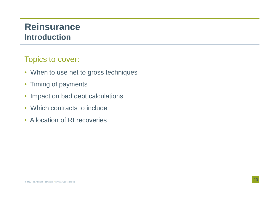### **Reinsurance Introduction**

#### Topics to cover:

- When to use net to gross techniques
- Timing of payments
- $\bullet$ Impact on bad debt calculations
- Which contracts to include
- Allocation of RI recoveries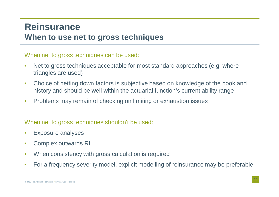#### **Reinsurance When to use net to gross techniques**

When net to gross techniques can be used:

- • Net to gross techniques acceptable for most standard approaches (e.g. where triangles are used)
- $\bullet$  Choice of netting down factors is subjective based on knowledge of the book and history and should be well within the actuarial function's current ability range
- •Problems may remain of checking on limiting or exhaustion issues

When net to gross techniques shouldn't be used:

- •Exposure analyses
- •Complex outwards RI
- •When consistency with gross calculation is required
- •For a frequency severity model, explicit modelling of reinsurance may be preferable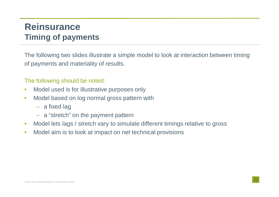## **Reinsurance Timing of payments**

The following two slides illustrate a simple model to look at interaction between timingof payments and materiality of results.

#### The following should be noted:

- •Model used is for illustrative purposes only
- • Model based on log normal gross pattern with
	- a fixed lag
	- <sup>a</sup>"stretch" on the payment pattern
- $\bullet$ Model lets lags / stretch vary to simulate different timings relative to gross
- •Model aim is to look at impact on net technical provisions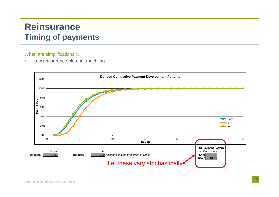## **Reinsurance Timing of payments**

When are simplifications OK:

•Low reinsurance plus not much lag

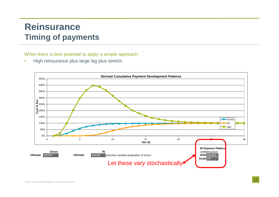## **Reinsurance Timing of payments**

When there is less potential to apply a simple approach:

•High reinsurance plus large lag plus stretch.

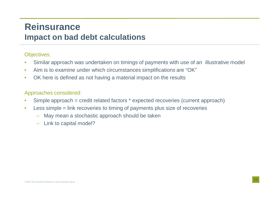#### **Reinsurance Impact on bad debt calculations**

#### Objectives:

- •Similar approach was undertaken on timings of payments with use of an illustrative model
- •Aim is to examine under which circumstances simplifications are "OK"
- $\bullet$ OK here is defined as not having a material impact on the results

#### Approaches considered:

- •Simple approach = credit related factors \* expected recoveries (current approach)
- $\bullet$  Less simple = link recoveries to timing of payments plus size of recoveries
	- –May mean a stochastic approach should be taken
	- –Link to capital model?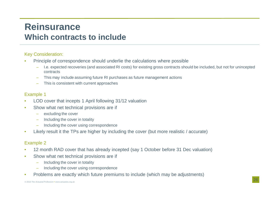### **Reinsurance Which contracts to include**

#### Key Consideration:

- • Principle of correspondence should underlie the calculations where possible
	- I.e. expected recoveries (and associated RI costs) for existing gross contracts should be included, but not for unincepted contracts
	- This may include assuming future RI purchases as future management actions –
	- –This is consistent with current approaches

#### Example 1

- LOD cover that incepts 1 April following 31/12 valuation•
- • Show what net technical provisions are if
	- –excluding the cover
	- –Including the cover in totality
	- Including the cover using correspondence
- •Likely result it the TPs are higher by including the cover (but more realistic / accurate)

#### Example 2

- 12 month RAD cover that has already incepted (say 1 October before 31 Dec valuation) •
- • Show what net technical provisions are if
	- –Including the cover in totality
	- Including the cover using correspondence
- •Problems are exactly which future premiums to include (which may be adjustments)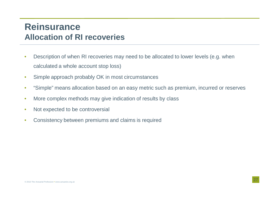#### **Reinsurance Allocation of RI recoveries**

- • Description of when RI recoveries may need to be allocated to lower levels (e.g. when calculated a whole account stop loss)
- •Simple approach probably OK in most circumstances
- •"Simple" means allocation based on an easy metric such as premium, incurred or reserves
- •More complex methods may give indication of results by class
- •Not expected to be controversial
- •Consistency between premiums and claims is required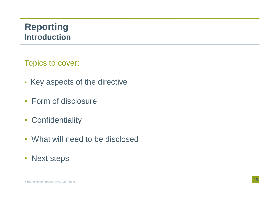### **Reporting Introduction**

Topics to cover:

- Key aspects of the directive
- Form of disclosure
- Confidentiality
- What will need to be disclosed
- Next steps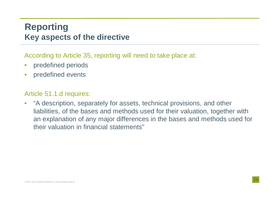### **Reporting Key aspects of the directive**

According to Article 35, reporting will need to take place at:

- $\bullet$ predefined periods
- $\bullet$ predefined events

#### Article 51.1.d requires:

 $\bullet$  "A description, separately for assets, technical provisions, and other liabilities, of the bases and methods used for their valuation, together with an explanation of any major differences in the bases and methods used for their valuation in financial statements"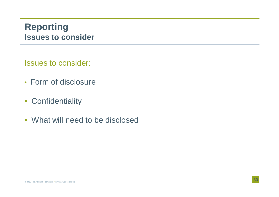### **Reporting Issues to consider**

Issues to consider:

- Form of disclosure
- Confidentiality
- What will need to be disclosed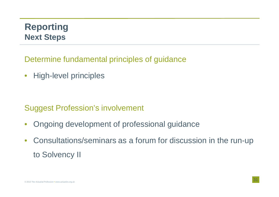## **Reporting Next Steps**

Determine fundamental principles of guidance

 $\bullet$ High-level principles

Suggest Profession's involvement

- $\bullet$ Ongoing development of professional guidance
- $\bullet$  Consultations/seminars as a forum for discussion in the run-up to Solvency II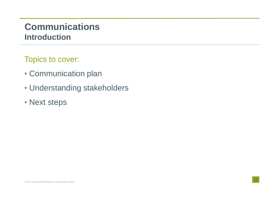### **Communications Introduction**

Topics to cover:

- Communication plan
- Understanding stakeholders
- Next steps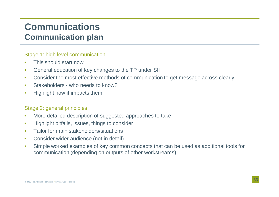## **Communications Communication plan**

#### Stage 1: high level communication

- •This should start now
- General education of key changes to the TP under SII •
- $\bullet$ Consider the most effective methods of communication to get message across clearly
- •Stakeholders - who needs to know?
- •Highlight how it impacts them

#### Stage 2: general principles

- •More detailed description of suggested approaches to take
- •Highlight pitfalls, issues, things to consider
- •Tailor for main stakeholders/situations
- $\bullet$ Consider wider audience (not in detail)
- $\bullet$  Simple worked examples of key common concepts that can be used as additional tools for communication (depending on outputs of other workstreams)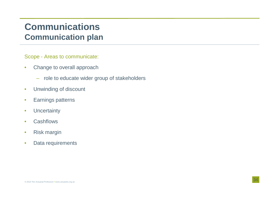## **Communications Communication plan**

Scope - Areas to communicate:

- • Change to overall approach
	- role to educate wider group of stakeholders
- $\bullet$ Unwinding of discount
- •Earnings patterns
- •**Uncertainty**
- •**Cashflows**
- •Risk margin
- •Data requirements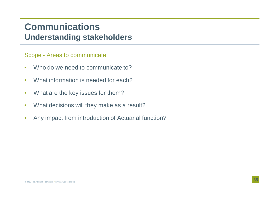### **CommunicationsUnderstanding stakeholders**

Scope - Areas to communicate:

- •Who do we need to communicate to?
- •What information is needed for each?
- •What are the key issues for them?
- $\bullet$ What decisions will they make as a result?
- •Any impact from introduction of Actuarial function?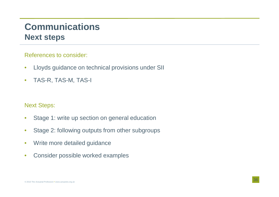### **Communications Next steps**

References to consider:

- $\bullet$ Lloyds guidance on technical provisions under SII
- •TAS-R, TAS-M, TAS-I

Next Steps:

- $\bullet$ Stage 1: write up section on general education
- $\bullet$ Stage 2: following outputs from other subgroups
- •Write more detailed guidance
- $\bullet$ Consider possible worked examples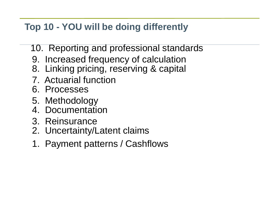# **Top 10 - YOU will be doing differently**

- 10. Reporting and professional standards
- 9. Increased frequency of calculation
- 8. Linking pricing, reserving & capital
- 7. Actuarial function
- 6. Processes
- 5. Methodology
- 4. Documentation
- 3. Reinsurance
- 2. Uncertainty/Latent claims
- 1. Payment patterns / Cashflows